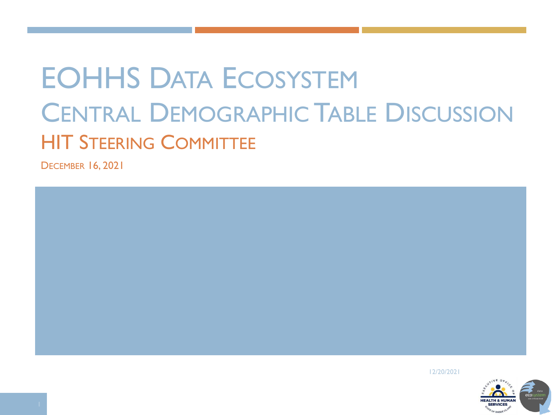# EOHHS DATA ECOSYSTEM CENTRAL DEMOGRAPHIC TABLE DISCUSSION HIT STEERING COMMITTEE

DECEMBER 16, 2021



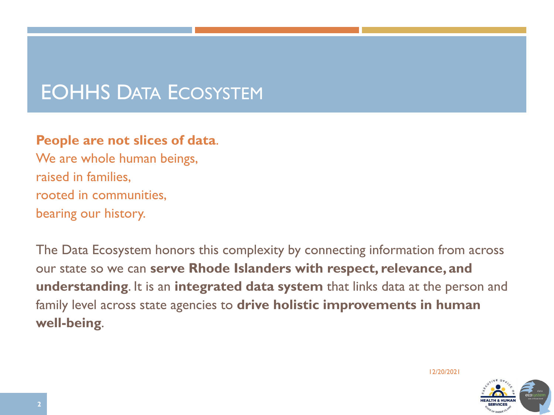## EOHHS DATA ECOSYSTEM

#### **People are not slices of data**.

We are whole human beings, raised in families, rooted in communities, bearing our history.

The Data Ecosystem honors this complexity by connecting information from across our state so we can **serve Rhode Islanders with respect, relevance, and understanding**. It is an **integrated data system** that links data at the person and family level across state agencies to **drive holistic improvements in human well-being**.

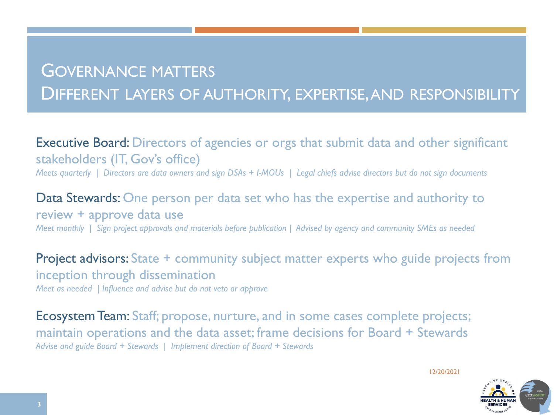## GOVERNANCE MATTERS DIFFERENT LAYERS OF AUTHORITY, EXPERTISE, AND RESPONSIBILITY

Executive Board: Directors of agencies or orgs that submit data and other significant stakeholders (IT, Gov's office) *Meets quarterly | Directors are data owners and sign DSAs + I-MOUs | Legal chiefs advise directors but do not sign documents*

Data Stewards: One person per data set who has the expertise and authority to review + approve data use *Meet monthly | Sign project approvals and materials before publication | Advised by agency and community SMEs as needed*

Project advisors: State + community subject matter experts who guide projects from inception through dissemination *Meet as needed | Influence and advise but do not veto or approve*

Ecosystem Team: Staff; propose, nurture, and in some cases complete projects; maintain operations and the data asset; frame decisions for Board + Stewards *Advise and guide Board + Stewards | Implement direction of Board + Stewards*

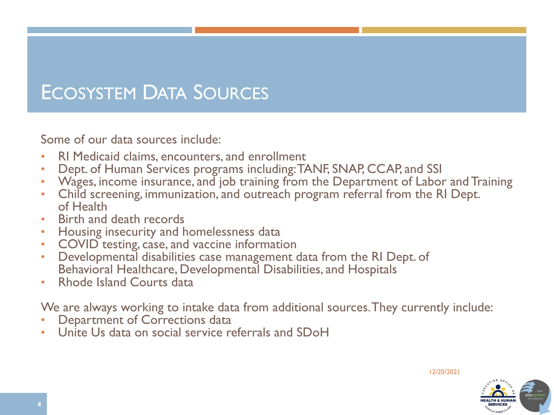## ECOSYSTEM DATA SOURCES

Some of our data sources include:

- RI Medicaid claims, encounters, and enrollment
- Dept. of Human Services programs including: TANF, SNAP, CCAP, and SSI
- Wages, income insurance, and job training from the Department of Labor and Training
- Child screening, immunization, and outreach program referral from the RI Dept. of Health
- Birth and death records
- Housing insecurity and homelessness data
- COVID testing, case, and vaccine information
- Developmental disabilities case management data from the RI Dept. of Behavioral Healthcare, Developmental Disabilities, and Hospitals
- Rhode Island Courts data

We are always working to intake data from additional sources. They currently include:

- Department of Corrections data
- Unite Us data on social service referrals and SDoH

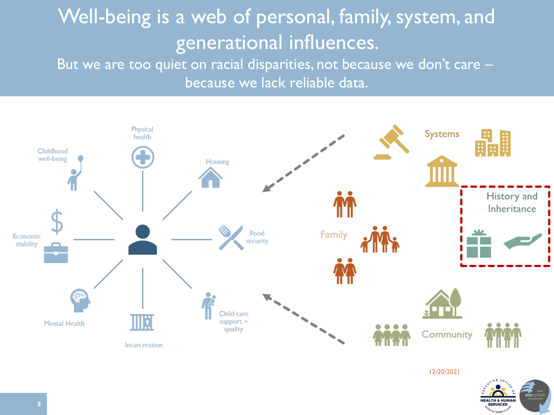# Well-being is a web of personal, family, system, and generational influences.

But we are too quiet on racial disparities, not because we don't care because we lack reliable data.



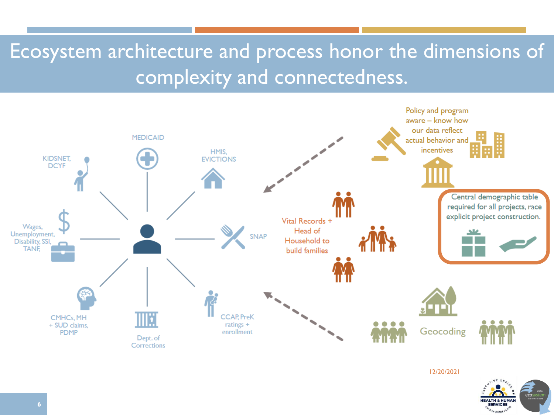# Ecosystem architecture and process honor the dimensions of complexity and connectedness.



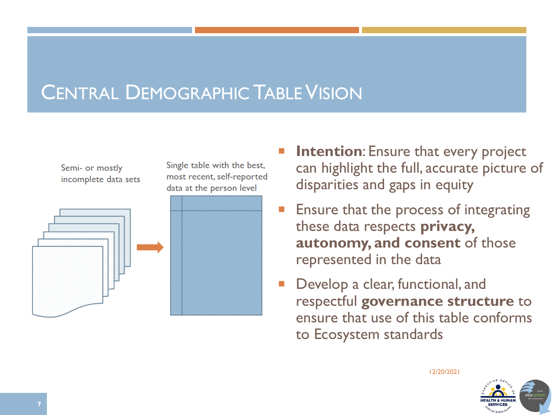## **CENTRAL DEMOGRAPHIC TABLE VISION**

Single table with the best,

most recent, self-reported

data at the person level

#### Semi- or mostly incomplete data sets



- **Intention:** Ensure that every project can highlight the full, accurate picture of disparities and gaps in equity
- Ensure that the process of integrating these data respects **privacy, autonomy, and consent** of those represented in the data
- Develop a clear, functional, and respectful **governance structure** to ensure that use of this table conforms to Ecosystem standards

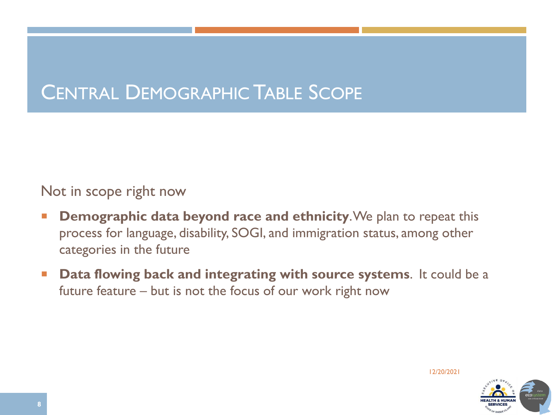## CENTRAL DEMOGRAPHIC TABLE SCOPE

Not in scope right now

- **Demographic data beyond race and ethnicity**. We plan to repeat this process for language, disability, SOGI, and immigration status, among other categories in the future
- **Data flowing back and integrating with source systems**. It could be a future feature – but is not the focus of our work right now

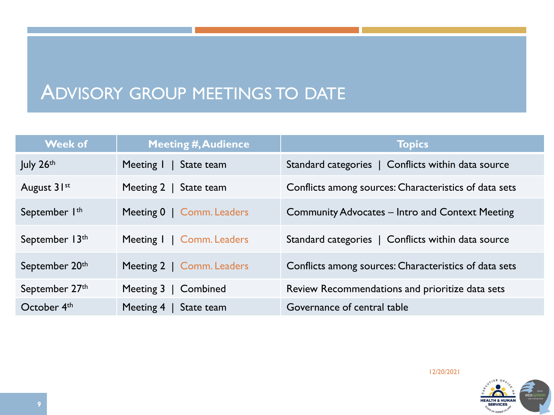## ADVISORY GROUP MEETINGS TO DATE

| <b>Week of</b>            | <b>Meeting #, Audience</b>   | <b>Topics</b>                                         |
|---------------------------|------------------------------|-------------------------------------------------------|
| July $26th$               | Meeting I   State team       | Standard categories   Conflicts within data source    |
| August 31st               | Meeting 2   State team       | Conflicts among sources: Characteristics of data sets |
| September I <sup>th</sup> | Meeting 0   Comm. Leaders    | Community Advocates – Intro and Context Meeting       |
| September 13th            | Meeting I   Comm. Leaders    | Standard categories   Conflicts within data source    |
| September 20th            | Meeting 2   Comm. Leaders    | Conflicts among sources: Characteristics of data sets |
| September 27th            | Meeting $3 \mid$<br>Combined | Review Recommendations and prioritize data sets       |
| October 4 <sup>th</sup>   | Meeting $4 \mid$ State team  | Governance of central table                           |

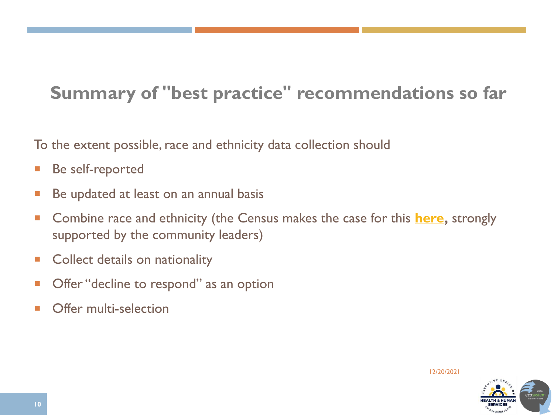## **Summary of "best practice" recommendations so far**

To the extent possible, race and ethnicity data collection should

- **Be self-reported**
- Be updated at least on an annual basis
- Combine race and ethnicity (the Census makes the case for this **here**, strongly supported by the community leaders)
- **Collect details on nationality**
- Offer "decline to respond" as an option
- Offer multi-selection

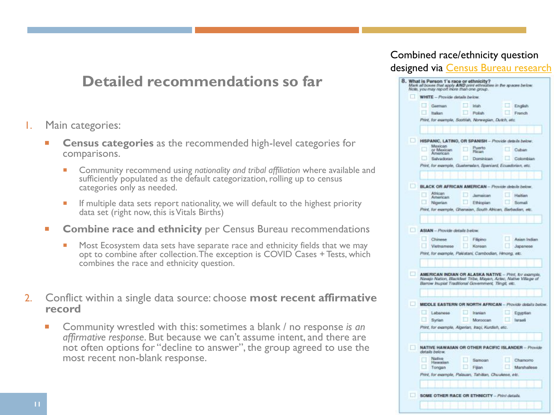### **Detailed recommendations so far**

- 1. Main categories:
	- **Census categories** as the recommended high-level categories for comparisons.
		- Community recommend using *nationality and tribal affiliation* where available and sufficiently populated as the default categorization, rolling up to census categories only as needed.
		- If multiple data sets report nationality, we will default to the highest priority data set (right now, this is Vitals Births)
	- **Combine race and ethnicity** per Census Bureau recommendations
		- **Most Ecosystem data sets have separate race and ethnicity fields that we may** opt to combine after collection. The exception is COVID Cases + Tests, which combines the race and ethnicity question.
- 2. Conflict within a single data source: choose **most recent affirmative record**
	- Community wrestled with this: sometimes a blank / no response *is an affirmative response*. But because we can't assume intent, and there are not often options for "decline to answer", the group agreed to use the most recent non-blank response.

#### Combined race/ethnicity question designed via [Census Bureau research](https://www2.census.gov/about/training-workshops/2020/2020-02-19-pop-presentation.pdf)

|                                                                                                                           | <b>WHITE</b> - Provide details below. |  |                                                              |  |              |  |
|---------------------------------------------------------------------------------------------------------------------------|---------------------------------------|--|--------------------------------------------------------------|--|--------------|--|
|                                                                                                                           | German                                |  | <b>Inlats</b>                                                |  | English      |  |
|                                                                                                                           | <b>Italian</b>                        |  | Polish                                                       |  | French       |  |
|                                                                                                                           |                                       |  | Print, for example, Scottish, Nonvegian, Dutch, etc.         |  |              |  |
|                                                                                                                           |                                       |  |                                                              |  |              |  |
|                                                                                                                           |                                       |  | HISPANIC, LATINO, OR SPANISH - Provide debuin below.         |  |              |  |
|                                                                                                                           | Mexican<br>or Mexican                 |  | Puerto<br><b>Rician</b>                                      |  | Cuban        |  |
|                                                                                                                           | American<br>Salvadoran                |  | Dominican.                                                   |  | Colombian    |  |
|                                                                                                                           |                                       |  | Print, for example, Guatemalan, Spaniard, Ecuadorian, etc.   |  |              |  |
|                                                                                                                           |                                       |  |                                                              |  |              |  |
|                                                                                                                           |                                       |  |                                                              |  |              |  |
|                                                                                                                           | <b>Ahrican</b>                        |  | BLACK OR AFRICAN AMERICAN - Provide debuts below.            |  |              |  |
|                                                                                                                           | American                              |  | <b>Jamaican</b>                                              |  | Haitian      |  |
|                                                                                                                           | Nigerian                              |  | Ethiopian                                                    |  | Somali       |  |
|                                                                                                                           |                                       |  | Print, for example, Ghanaian, South African, Barbadian, etc. |  |              |  |
|                                                                                                                           |                                       |  |                                                              |  |              |  |
| <b>ASIAN</b> - Provide details below.                                                                                     |                                       |  |                                                              |  |              |  |
|                                                                                                                           | Chinese                               |  | Filicino                                                     |  | Asian Indian |  |
|                                                                                                                           | Vietnamese                            |  | Korean                                                       |  | Japanese     |  |
|                                                                                                                           |                                       |  | Print, for example, Pakistani, Cambodian, Hmong, etc.        |  |              |  |
|                                                                                                                           |                                       |  |                                                              |  |              |  |
| AMERICAN INDIAN OR ALASKA NATIVE - Print, for example,<br>Navajo Nation, Blackfaet Titbe, Mayan, Aztec, Native Village of |                                       |  |                                                              |  |              |  |
|                                                                                                                           |                                       |  | Barrow Inupiat Traditional Government, Tlingit, etc.         |  |              |  |
|                                                                                                                           |                                       |  |                                                              |  |              |  |
|                                                                                                                           |                                       |  | MIDDLE EASTERN OR NORTH AFRICAN - Provide details below.     |  |              |  |
|                                                                                                                           | Lobanose                              |  | <b>Iranian</b>                                               |  | Egyptian     |  |
|                                                                                                                           | <b>Syrian</b>                         |  | Moroccan                                                     |  | lurnoil      |  |
| Print, for example, Algenian, Iraqi, Kundish, etc.                                                                        |                                       |  |                                                              |  |              |  |
|                                                                                                                           |                                       |  |                                                              |  |              |  |
| details below.                                                                                                            |                                       |  | <b>NATIVE HAWAIIAN OR OTHER PACIFIC ISLANDER - Provide</b>   |  |              |  |
|                                                                                                                           | Nativo                                |  | Samoan                                                       |  | Chamorro     |  |
|                                                                                                                           | <b>Hawaiish</b>                       |  | Fijian                                                       |  | Marshallese  |  |
|                                                                                                                           |                                       |  |                                                              |  |              |  |
|                                                                                                                           | Tongan                                |  | Print, for example, Palauan, Tahitian, Chuukese, etc.        |  |              |  |
|                                                                                                                           |                                       |  |                                                              |  |              |  |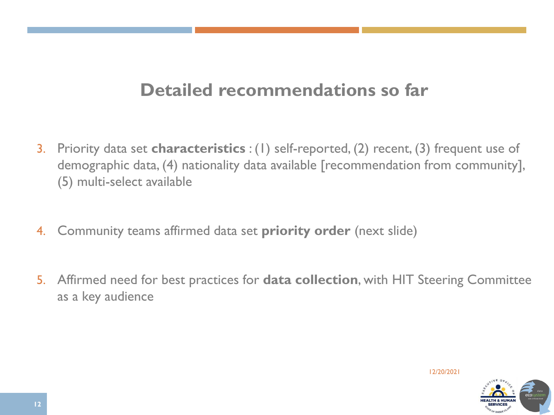### **Detailed recommendations so far**

- 3. Priority data set **characteristics** : (1) self-reported, (2) recent, (3) frequent use of demographic data, (4) nationality data available [recommendation from community], (5) multi-select available
- 4. Community teams affirmed data set **priority order** (next slide)
- 5. Affirmed need for best practices for **data collection**, with HIT Steering Committee as a key audience

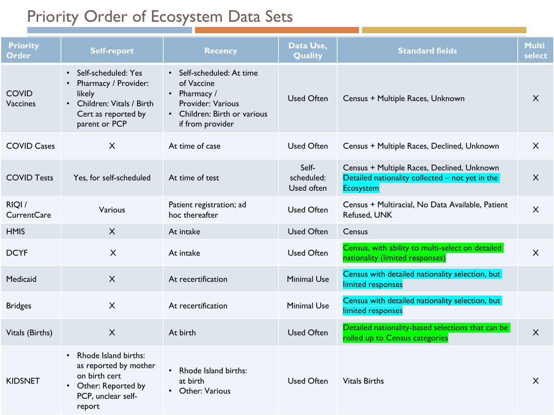### Priority Order of Ecosystem Data Sets

| <b>Priority</b><br><b>Order</b> | <b>Self-report</b>                                                                                                                     | <b>Recency</b>                                                                                                                   | Data Use,<br>Quality              | <b>Standard fields</b>                                                                                            | <b>Multi</b><br>select |
|---------------------------------|----------------------------------------------------------------------------------------------------------------------------------------|----------------------------------------------------------------------------------------------------------------------------------|-----------------------------------|-------------------------------------------------------------------------------------------------------------------|------------------------|
| <b>COVID</b><br>Vaccines        | Self-scheduled: Yes<br>$\bullet$<br>Pharmacy / Provider:<br>likely<br>Children: Vitals / Birth<br>Cert as reported by<br>parent or PCP | · Self-scheduled: At time<br>of Vaccine<br>• Pharmacy /<br>Provider: Various<br>• Children: Birth or various<br>if from provider | <b>Used Often</b>                 | Census + Multiple Races, Unknown                                                                                  | $\sf X$                |
| <b>COVID Cases</b>              | X                                                                                                                                      | At time of case                                                                                                                  | <b>Used Often</b>                 | Census + Multiple Races, Declined, Unknown                                                                        | X                      |
| <b>COVID Tests</b>              | Yes, for self-scheduled                                                                                                                | At time of test                                                                                                                  | Self-<br>scheduled:<br>Used often | Census + Multiple Races, Declined, Unknown<br>Detailed nationality collected - not yet in the<br><b>Ecosystem</b> | $\sf X$                |
| RIQI/<br><b>CurrentCare</b>     | Various                                                                                                                                | Patient registration; ad<br>hoc thereafter                                                                                       | <b>Used Often</b>                 | Census + Multiracial, No Data Available, Patient<br>Refused, UNK                                                  | X                      |
| <b>HMIS</b>                     | $\sf X$                                                                                                                                | At intake                                                                                                                        | <b>Used Often</b>                 | Census                                                                                                            |                        |
| <b>DCYF</b>                     | $\mathsf{X}$                                                                                                                           | At intake                                                                                                                        | <b>Used Often</b>                 | Census, with ability to multi-select on detailed<br>nationality (limited responses)                               | $\mathsf{X}$           |
| Medicaid                        | $\boldsymbol{\mathsf{X}}$                                                                                                              | At recertification                                                                                                               | <b>Minimal Use</b>                | Census with detailed nationality selection, but<br>limited responses                                              |                        |
| <b>Bridges</b>                  | $\boldsymbol{\mathsf{X}}$                                                                                                              | At recertification                                                                                                               | <b>Minimal Use</b>                | Census with detailed nationality selection, but<br>limited responses                                              |                        |
| Vitals (Births)                 | $\times$                                                                                                                               | At birth                                                                                                                         | <b>Used Often</b>                 | Detailed nationality-based selections that can be<br>rolled up to Census categories                               | X                      |
| <b>KIDSNET</b>                  | Rhode Island births:<br>$\bullet$<br>as reported by mother<br>on birth cert<br>• Other: Reported by<br>PCP, unclear self-<br>report    | Rhode Island births:<br>$\bullet$<br>at birth<br>• Other: Various                                                                | <b>Used Often</b>                 | <b>Vitals Births</b>                                                                                              | X                      |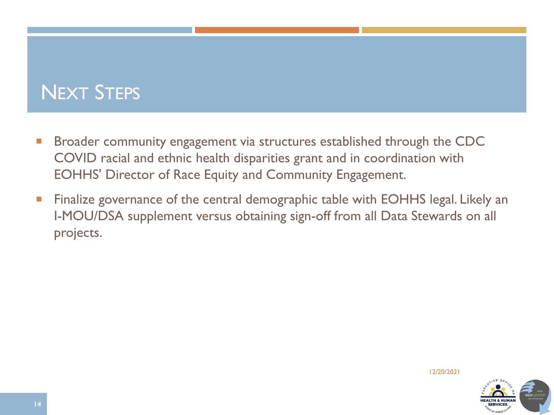## NEXT STEPS

- Broader community engagement via structures established through the CDC COVID racial and ethnic health disparities grant and in coordination with EOHHS' Director of Race Equity and Community Engagement.
- Finalize governance of the central demographic table with EOHHS legal. Likely an I-MOU/DSA supplement versus obtaining sign-off from all Data Stewards on all projects.

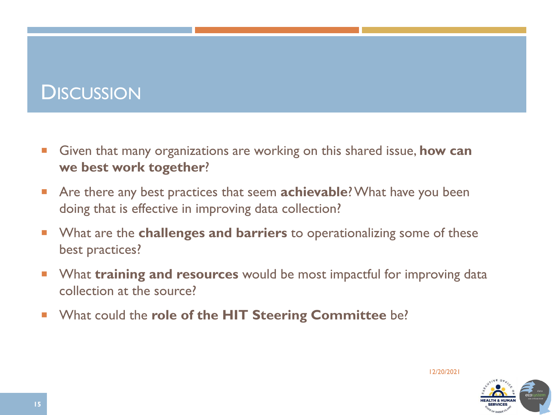## **DISCUSSION**

- Given that many organizations are working on this shared issue, **how can we best work together**?
- Are there any best practices that seem **achievable**? What have you been doing that is effective in improving data collection?
- **Notable 1** What are the **challenges and barriers** to operationalizing some of these best practices?
- **Number 1 What training and resources** would be most impactful for improving data collection at the source?
- **No What could the role of the HIT Steering Committee be?**

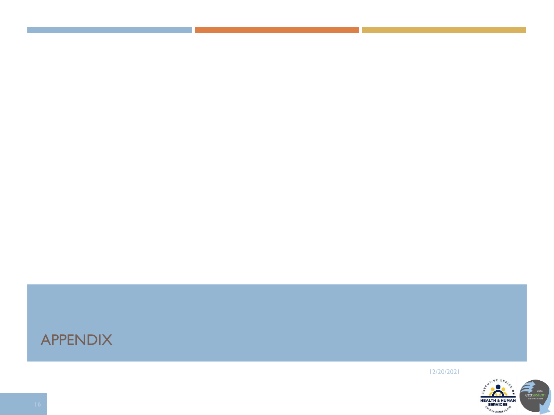#### APPENDIX

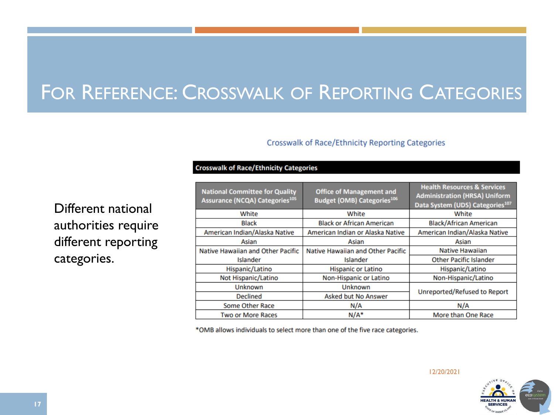## FOR REFERENCE: CROSSWALK OF REPORTING CATEGORIES

#### **Crosswalk of Race/Ethnicity Reporting Categories**

**Crosswalk of Race/Ethnicity Categories** 

| <b>National Committee for Quality</b><br><b>Assurance (NCQA) Categories105</b> | <b>Office of Management and</b><br><b>Budget (OMB) Categories106</b> | <b>Health Resources &amp; Services</b><br><b>Administration (HRSA) Uniform</b><br>Data System (UDS) Categories <sup>107</sup> |  |
|--------------------------------------------------------------------------------|----------------------------------------------------------------------|-------------------------------------------------------------------------------------------------------------------------------|--|
| White                                                                          | White                                                                | White                                                                                                                         |  |
| <b>Black</b>                                                                   | <b>Black or African American</b>                                     | <b>Black/African American</b>                                                                                                 |  |
| American Indian/Alaska Native                                                  | American Indian or Alaska Native                                     | American Indian/Alaska Native                                                                                                 |  |
| Asian                                                                          | Asian                                                                | Asian                                                                                                                         |  |
| Native Hawaiian and Other Pacific                                              | Native Hawaiian and Other Pacific                                    | <b>Native Hawaiian</b>                                                                                                        |  |
| Islander                                                                       | Islander                                                             | <b>Other Pacific Islander</b>                                                                                                 |  |
| Hispanic/Latino                                                                | <b>Hispanic or Latino</b>                                            | Hispanic/Latino                                                                                                               |  |
| Not Hispanic/Latino                                                            | Non-Hispanic or Latino                                               | Non-Hispanic/Latino                                                                                                           |  |
| Unknown                                                                        | <b>Unknown</b>                                                       |                                                                                                                               |  |
| <b>Declined</b>                                                                | <b>Asked but No Answer</b>                                           | Unreported/Refused to Report                                                                                                  |  |
| Some Other Race                                                                | N/A                                                                  | N/A                                                                                                                           |  |
| <b>Two or More Races</b>                                                       | $N/A^*$                                                              | More than One Race                                                                                                            |  |

\*OMB allows individuals to select more than one of the five race categories.

Different national authorities require different reporting categories.

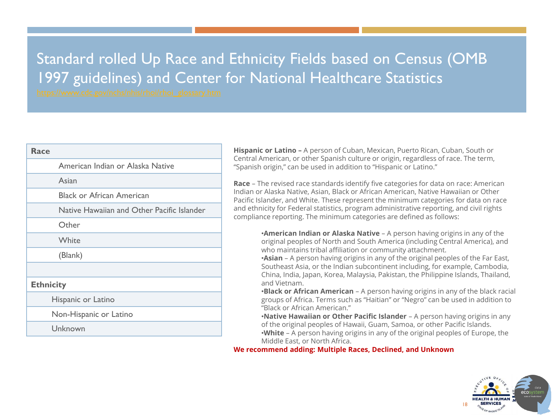### Standard rolled Up Race and Ethnicity Fields based on Census (OMB 1997 guidelines) and Center for National Healthcare Statistics

| Race             |                                            |
|------------------|--------------------------------------------|
|                  | American Indian or Alaska Native           |
|                  | Asian                                      |
|                  | <b>Black or African American</b>           |
|                  | Native Hawaiian and Other Pacific Islander |
|                  | Other                                      |
|                  | White                                      |
|                  | (Blank)                                    |
|                  |                                            |
| <b>Ethnicity</b> |                                            |
|                  | Hispanic or Latino                         |
|                  | Non-Hispanic or Latino                     |
|                  | Unknown                                    |

**Hispanic or Latino –** A person of Cuban, Mexican, Puerto Rican, Cuban, South or Central American, or other Spanish culture or origin, regardless of race. The term, "Spanish origin," can be used in addition to "Hispanic or Latino."

**Race** – The revised race standards identify five categories for data on race: American Indian or Alaska Native, Asian, Black or African American, Native Hawaiian or Other Pacific Islander, and White. These represent the minimum categories for data on race and ethnicity for Federal statistics, program administrative reporting, and civil rights compliance reporting. The minimum categories are defined as follows:

> •**American Indian or Alaska Native** – A person having origins in any of the original peoples of North and South America (including Central America), and who maintains tribal affiliation or community attachment.

> •**Asian** – A person having origins in any of the original peoples of the Far East, Southeast Asia, or the Indian subcontinent including, for example, Cambodia, China, India, Japan, Korea, Malaysia, Pakistan, the Philippine Islands, Thailand, and Vietnam.

•**Black or African American** – A person having origins in any of the black racial groups of Africa. Terms such as "Haitian" or "Negro" can be used in addition to "Black or African American."

•**Native Hawaiian or Other Pacific Islander** – A person having origins in any of the original peoples of Hawaii, Guam, Samoa, or other Pacific Islands. •**White** – A person having origins in any of the original peoples of Europe, the

Middle East, or North Africa.

**We recommend adding: Multiple Races, Declined, and Unknown**

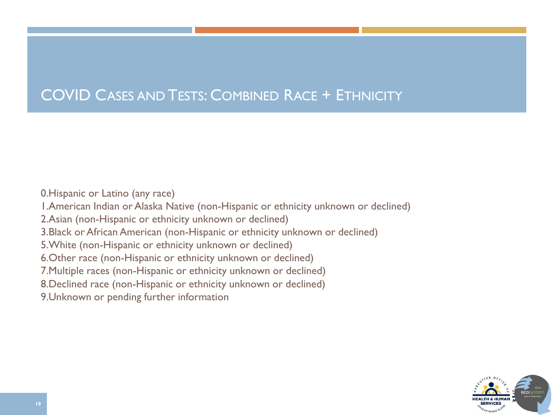### COVID CASES AND TESTS: COMBINED RACE + ETHNICITY

0.Hispanic or Latino (any race) 1.American Indian or Alaska Native (non-Hispanic or ethnicity unknown or declined) 2.Asian (non-Hispanic or ethnicity unknown or declined) 3.Black or African American (non-Hispanic or ethnicity unknown or declined) 5.White (non-Hispanic or ethnicity unknown or declined) 6.Other race (non-Hispanic or ethnicity unknown or declined) 7.Multiple races (non-Hispanic or ethnicity unknown or declined) 8.Declined race (non-Hispanic or ethnicity unknown or declined) 9.Unknown or pending further information

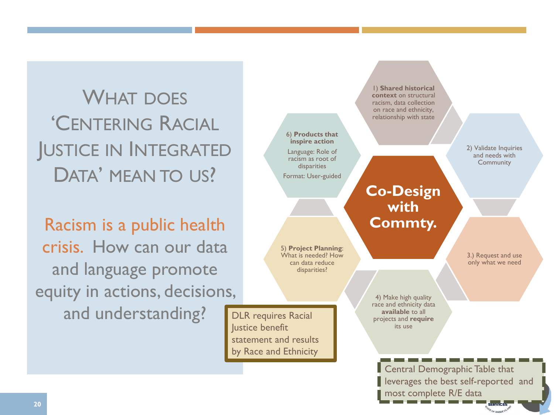WHAT DOES 'CENTERING RACIAL JUSTICE IN INTEGRATED DATA' MEAN TO US?

Racism is a public health crisis. How can our data and language promote equity in actions, decisions, and understanding? DLR requires Racial

Central Demographic Table that **Co-Design with Commty.** 1) **Shared historical context** on structural racism, data collection on race and ethnicity, relationship with state 2) Validate Inquiries and needs with **Community** 3.) Request and use only what we need 4) Make high quality race and ethnicity data **available** to all projects and **require** its use 5) **Project Planning**: What is needed? How can data reduce disparities? 6) **Products that inspire action** Language: Role of racism as root of disparities Format: User-guided lustice benefit statement and results by Race and Ethnicity leverages the best self-reported and

most complete R/E data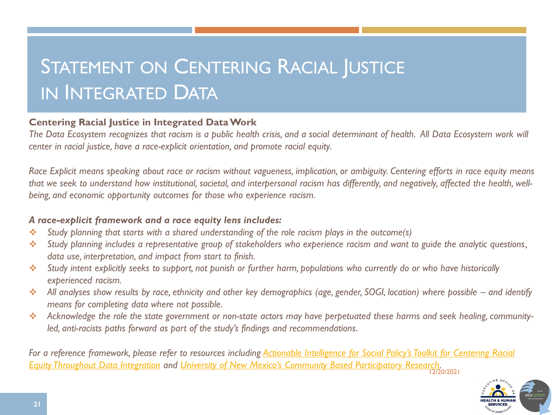# STATEMENT ON CENTERING RACIAL JUSTICE IN INTEGRATED DATA

#### **Centering Racial Justice in Integrated Data Work**

*The Data Ecosystem recognizes that racism is a public health crisis, and a social determinant of health. All Data Ecosystem work will center in racial justice, have a race-explicit orientation, and promote racial equity.*

*Race Explicit means speaking about race or racism without vagueness, implication, or ambiguity. Centering efforts in race equity means that we seek to understand how institutional, societal, and interpersonal racism has differently, and negatively, affected the health, wellbeing, and economic opportunity outcomes for those who experience racism.*

#### *A race-explicit framework and a race equity lens includes:*

- ❖ *Study planning that starts with a shared understanding of the role racism plays in the outcome(s)*
- ❖ *Study planning includes a representative group of stakeholders who experience racism and want to guide the analytic questions, data use, interpretation, and impact from start to finish.*
- ❖ *Study intent explicitly seeks to support, not punish or further harm, populations who currently do or who have historically experienced racism.*
- ❖ *All analyses show results by race, ethnicity and other key demographics (age, gender, SOGI, location) where possible – and identify means for completing data where not possible.*
- ❖ *Acknowledge the role the state government or non-state actors may have perpetuated these harms and seek healing, communityled, anti-racists paths forward as part of the study's findings and recommendations.*

12/20/2021 For a reference framework, please refer to resources including **Actionable Intelligence for Social Policy's Toolkit for Centering Racial** *Equity Throughout Data Integration and [University of New Mexico's Community Based Participatory Research](https://www.aisp.upenn.edu/centering-equity/).*